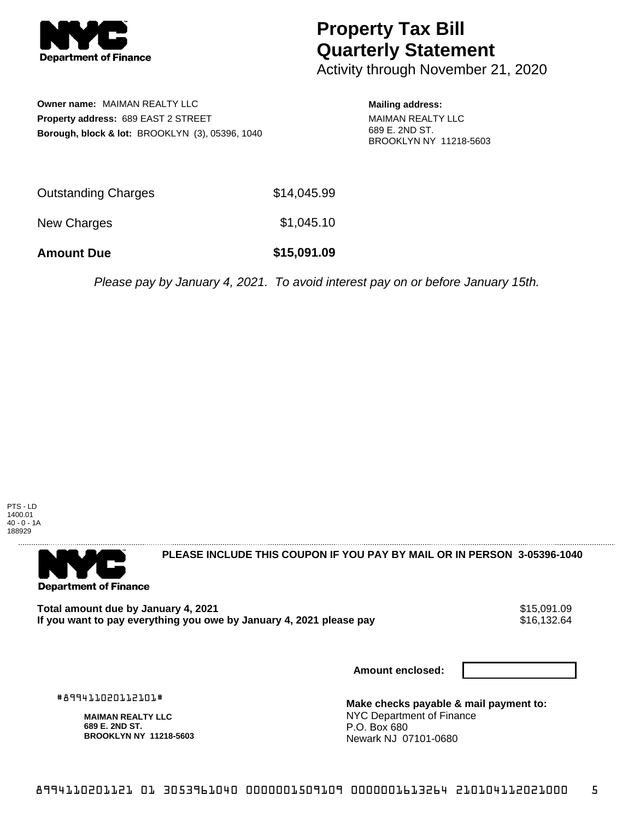

## **Property Tax Bill Quarterly Statement**

Activity through November 21, 2020

**Owner name:** MAIMAN REALTY LLC **Property address:** 689 EAST 2 STREET **Borough, block & lot:** BROOKLYN (3), 05396, 1040 **Mailing address:** MAIMAN REALTY LLC 689 E. 2ND ST. BROOKLYN NY 11218-5603

| <b>Amount Due</b>          | \$15,091.09 |
|----------------------------|-------------|
| New Charges                | \$1,045.10  |
| <b>Outstanding Charges</b> | \$14,045.99 |

Please pay by January 4, 2021. To avoid interest pay on or before January 15th.



**Department of Finance** 

**PLEASE INCLUDE THIS COUPON IF YOU PAY BY MAIL OR IN PERSON 3-05396-1040** 

Total amount due by January 4, 2021<br>If you want to pay everything you owe by January 4, 2021 please pay **1986 120 MB 121, 132,64** If you want to pay everything you owe by January 4, 2021 please pay

**Amount enclosed:**

#899411020112101#

**MAIMAN REALTY LLC 689 E. 2ND ST. BROOKLYN NY 11218-5603**

**Make checks payable & mail payment to:** NYC Department of Finance P.O. Box 680 Newark NJ 07101-0680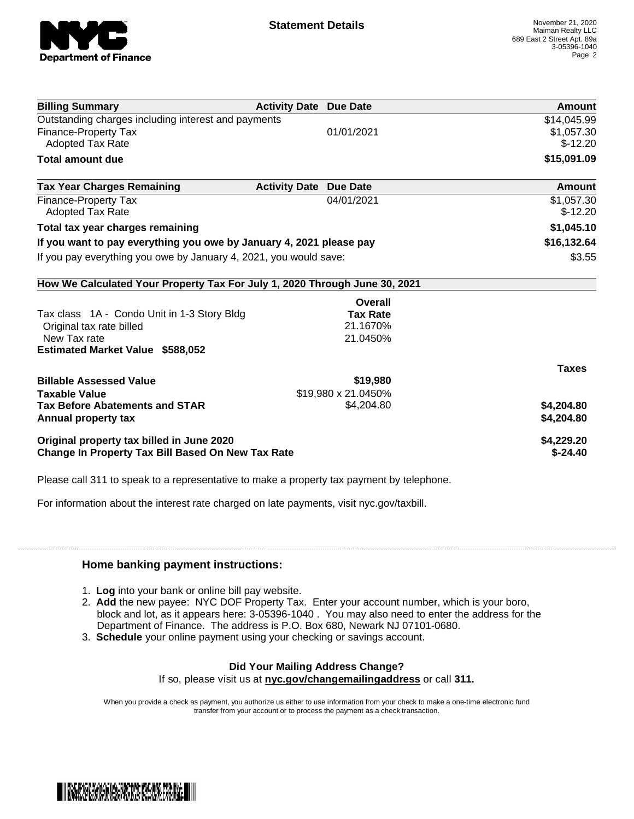

| <b>Billing Summary</b>                                                     | <b>Activity Date Due Date</b>           | Amount       |
|----------------------------------------------------------------------------|-----------------------------------------|--------------|
| Outstanding charges including interest and payments                        |                                         | \$14,045.99  |
| Finance-Property Tax                                                       | 01/01/2021                              | \$1,057.30   |
| <b>Adopted Tax Rate</b>                                                    |                                         | $$-12.20$    |
| <b>Total amount due</b>                                                    |                                         | \$15,091.09  |
| <b>Tax Year Charges Remaining</b>                                          | <b>Activity Date</b><br><b>Due Date</b> | Amount       |
| Finance-Property Tax                                                       | 04/01/2021                              | \$1,057.30   |
| <b>Adopted Tax Rate</b>                                                    |                                         | $$-12.20$    |
| Total tax year charges remaining                                           |                                         | \$1,045.10   |
| If you want to pay everything you owe by January 4, 2021 please pay        |                                         | \$16,132.64  |
| If you pay everything you owe by January 4, 2021, you would save:          |                                         | \$3.55       |
| How We Calculated Your Property Tax For July 1, 2020 Through June 30, 2021 |                                         |              |
|                                                                            | Overall                                 |              |
| Tax class 1A - Condo Unit in 1-3 Story Bldg                                | <b>Tax Rate</b>                         |              |
| Original tax rate billed                                                   | 21.1670%                                |              |
| New Tax rate                                                               | 21.0450%                                |              |
| <b>Estimated Market Value \$588,052</b>                                    |                                         |              |
|                                                                            |                                         | <b>Taxes</b> |
| <b>Billable Assessed Value</b>                                             | \$19,980                                |              |
| <b>Taxable Value</b>                                                       | \$19,980 x 21.0450%                     |              |
| <b>Tax Before Abatements and STAR</b>                                      | \$4,204.80                              | \$4,204.80   |
| Annual property tax                                                        |                                         | \$4,204.80   |
| Original property tax billed in June 2020                                  |                                         | \$4,229.20   |
| <b>Change In Property Tax Bill Based On New Tax Rate</b>                   |                                         | $$-24.40$    |

Please call 311 to speak to a representative to make a property tax payment by telephone.

For information about the interest rate charged on late payments, visit nyc.gov/taxbill.

## **Home banking payment instructions:**

- 1. **Log** into your bank or online bill pay website.
- 2. **Add** the new payee: NYC DOF Property Tax. Enter your account number, which is your boro, block and lot, as it appears here: 3-05396-1040 . You may also need to enter the address for the Department of Finance. The address is P.O. Box 680, Newark NJ 07101-0680.
- 3. **Schedule** your online payment using your checking or savings account.

## **Did Your Mailing Address Change?**

If so, please visit us at **nyc.gov/changemailingaddress** or call **311.**

When you provide a check as payment, you authorize us either to use information from your check to make a one-time electronic fund transfer from your account or to process the payment as a check transaction.